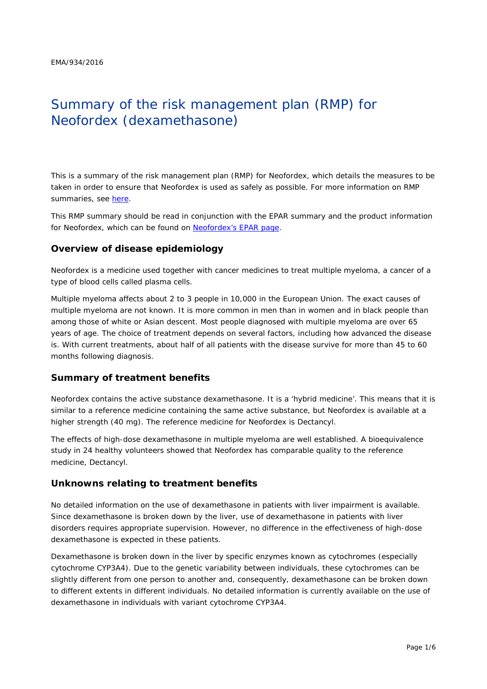# Summary of the risk management plan (RMP) for Neofordex (dexamethasone)

This is a summary of the risk management plan (RMP) for Neofordex, which details the measures to be taken in order to ensure that Neofordex is used as safely as possible. For more information on RMP summaries, see [here.](http://www.ema.europa.eu/docs/en_GB/document_library/Other/2014/05/WC500166101.pdf)

This RMP summary should be read in conjunction with the EPAR summary and the product information for Neofordex, which can be found on [Neofordex's EPAR page.](http://www.ema.europa.eu/ema/index.jsp?curl=/pages/medicines/human/medicines/004071/human_med_001960.jsp)

### **Overview of disease epidemiology**

Neofordex is a medicine used together with cancer medicines to treat multiple myeloma, a cancer of a type of blood cells called plasma cells.

Multiple myeloma affects about 2 to 3 people in 10,000 in the European Union. The exact causes of multiple myeloma are not known. It is more common in men than in women and in black people than among those of white or Asian descent. Most people diagnosed with multiple myeloma are over 65 years of age. The choice of treatment depends on several factors, including how advanced the disease is. With current treatments, about half of all patients with the disease survive for more than 45 to 60 months following diagnosis.

### **Summary of treatment benefits**

Neofordex contains the active substance dexamethasone. It is a 'hybrid medicine'. This means that it is similar to a reference medicine containing the same active substance, but Neofordex is available at a higher strength (40 mg). The reference medicine for Neofordex is Dectancyl.

The effects of high-dose dexamethasone in multiple myeloma are well established. A bioequivalence study in 24 healthy volunteers showed that Neofordex has comparable quality to the reference medicine, Dectancyl.

### **Unknowns relating to treatment benefits**

No detailed information on the use of dexamethasone in patients with liver impairment is available. Since dexamethasone is broken down by the liver, use of dexamethasone in patients with liver disorders requires appropriate supervision. However, no difference in the effectiveness of high-dose dexamethasone is expected in these patients.

Dexamethasone is broken down in the liver by specific enzymes known as cytochromes (especially cytochrome CYP3A4). Due to the genetic variability between individuals, these cytochromes can be slightly different from one person to another and, consequently, dexamethasone can be broken down to different extents in different individuals. No detailed information is currently available on the use of dexamethasone in individuals with variant cytochrome CYP3A4.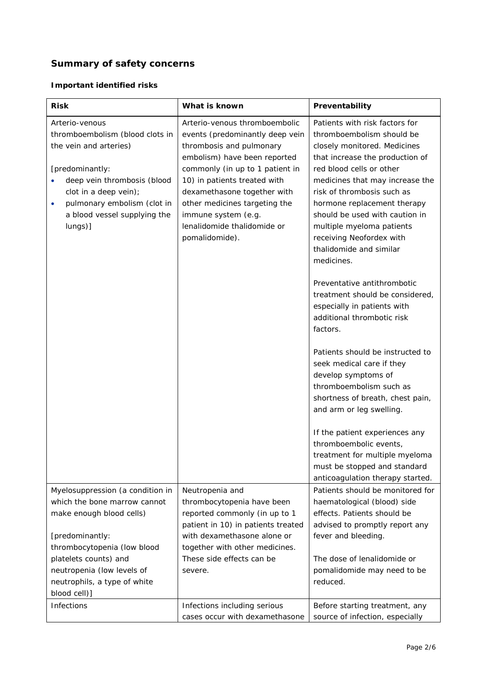# **Summary of safety concerns**

### *Important identified risks*

| <b>Risk</b>                                                                                                                                                                                                                                   | What is known<br>Preventability                                                                                                                                                                                                                                                                                                         |                                                                                                                                                                                                                                                                                                                                                                                                                                                                                                                                           |  |
|-----------------------------------------------------------------------------------------------------------------------------------------------------------------------------------------------------------------------------------------------|-----------------------------------------------------------------------------------------------------------------------------------------------------------------------------------------------------------------------------------------------------------------------------------------------------------------------------------------|-------------------------------------------------------------------------------------------------------------------------------------------------------------------------------------------------------------------------------------------------------------------------------------------------------------------------------------------------------------------------------------------------------------------------------------------------------------------------------------------------------------------------------------------|--|
| Arterio-venous<br>thromboembolism (blood clots in<br>the vein and arteries)<br>[predominantly:<br>deep vein thrombosis (blood<br>clot in a deep vein);<br>pulmonary embolism (clot in<br>$\bullet$<br>a blood vessel supplying the<br>lungs)] | Arterio-venous thromboembolic<br>events (predominantly deep vein<br>thrombosis and pulmonary<br>embolism) have been reported<br>commonly (in up to 1 patient in<br>10) in patients treated with<br>dexamethasone together with<br>other medicines targeting the<br>immune system (e.g.<br>lenalidomide thalidomide or<br>pomalidomide). | Patients with risk factors for<br>thromboembolism should be<br>closely monitored. Medicines<br>that increase the production of<br>red blood cells or other<br>medicines that may increase the<br>risk of thrombosis such as<br>hormone replacement therapy<br>should be used with caution in<br>multiple myeloma patients<br>receiving Neofordex with<br>thalidomide and similar<br>medicines.<br>Preventative antithrombotic<br>treatment should be considered,<br>especially in patients with<br>additional thrombotic risk<br>factors. |  |
|                                                                                                                                                                                                                                               |                                                                                                                                                                                                                                                                                                                                         | Patients should be instructed to<br>seek medical care if they<br>develop symptoms of<br>thromboembolism such as<br>shortness of breath, chest pain,<br>and arm or leg swelling.                                                                                                                                                                                                                                                                                                                                                           |  |
|                                                                                                                                                                                                                                               |                                                                                                                                                                                                                                                                                                                                         | If the patient experiences any<br>thromboembolic events,<br>treatment for multiple myeloma<br>must be stopped and standard<br>anticoagulation therapy started.                                                                                                                                                                                                                                                                                                                                                                            |  |
| Myelosuppression (a condition in<br>which the bone marrow cannot<br>make enough blood cells)<br>[predominantly:                                                                                                                               | Neutropenia and<br>thrombocytopenia have been<br>reported commonly (in up to 1<br>patient in 10) in patients treated<br>with dexamethasone alone or                                                                                                                                                                                     | Patients should be monitored for<br>haematological (blood) side<br>effects. Patients should be<br>advised to promptly report any<br>fever and bleeding.                                                                                                                                                                                                                                                                                                                                                                                   |  |
| thrombocytopenia (low blood<br>platelets counts) and<br>neutropenia (low levels of<br>neutrophils, a type of white<br>blood cell)]                                                                                                            | together with other medicines.<br>These side effects can be<br>severe.                                                                                                                                                                                                                                                                  | The dose of lenalidomide or<br>pomalidomide may need to be<br>reduced.                                                                                                                                                                                                                                                                                                                                                                                                                                                                    |  |
| Infections                                                                                                                                                                                                                                    | Infections including serious<br>cases occur with dexamethasone                                                                                                                                                                                                                                                                          | Before starting treatment, any<br>source of infection, especially                                                                                                                                                                                                                                                                                                                                                                                                                                                                         |  |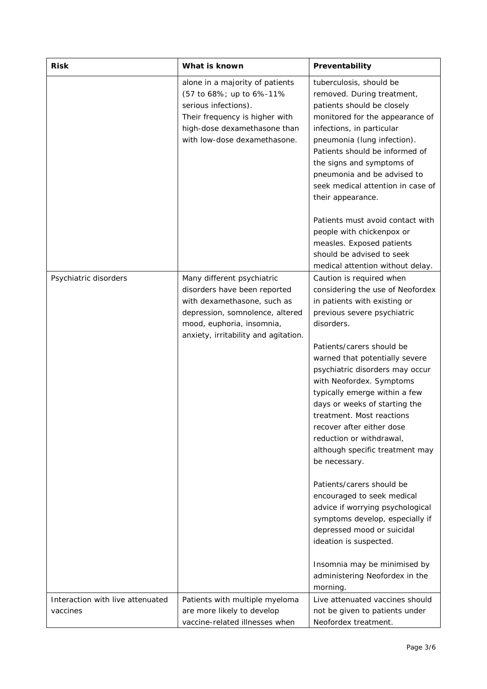| What is known<br><b>Risk</b>                 |                                                                                                                                                                                                   | Preventability                                                                                                                                                                                                                                                                                                                                                                                                                                                                      |  |  |
|----------------------------------------------|---------------------------------------------------------------------------------------------------------------------------------------------------------------------------------------------------|-------------------------------------------------------------------------------------------------------------------------------------------------------------------------------------------------------------------------------------------------------------------------------------------------------------------------------------------------------------------------------------------------------------------------------------------------------------------------------------|--|--|
|                                              | alone in a majority of patients<br>(57 to 68%; up to 6%-11%<br>serious infections).<br>Their frequency is higher with<br>high-dose dexamethasone than<br>with low-dose dexamethasone.             | tuberculosis, should be<br>removed. During treatment,<br>patients should be closely<br>monitored for the appearance of<br>infections, in particular<br>pneumonia (lung infection).<br>Patients should be informed of<br>the signs and symptoms of<br>pneumonia and be advised to<br>seek medical attention in case of<br>their appearance.<br>Patients must avoid contact with<br>people with chickenpox or                                                                         |  |  |
|                                              |                                                                                                                                                                                                   | measles. Exposed patients<br>should be advised to seek<br>medical attention without delay.                                                                                                                                                                                                                                                                                                                                                                                          |  |  |
| Psychiatric disorders                        | Many different psychiatric<br>disorders have been reported<br>with dexamethasone, such as<br>depression, somnolence, altered<br>mood, euphoria, insomnia,<br>anxiety, irritability and agitation. | Caution is required when<br>considering the use of Neofordex<br>in patients with existing or<br>previous severe psychiatric<br>disorders.<br>Patients/carers should be<br>warned that potentially severe<br>psychiatric disorders may occur<br>with Neofordex. Symptoms<br>typically emerge within a few<br>days or weeks of starting the<br>treatment. Most reactions<br>recover after either dose<br>reduction or withdrawal,<br>although specific treatment may<br>be necessary. |  |  |
|                                              |                                                                                                                                                                                                   | Patients/carers should be<br>encouraged to seek medical<br>advice if worrying psychological<br>symptoms develop, especially if<br>depressed mood or suicidal<br>ideation is suspected.<br>Insomnia may be minimised by<br>administering Neofordex in the<br>morning.                                                                                                                                                                                                                |  |  |
| Interaction with live attenuated<br>vaccines | Patients with multiple myeloma<br>are more likely to develop<br>vaccine-related illnesses when                                                                                                    | Live attenuated vaccines should<br>not be given to patients under<br>Neofordex treatment.                                                                                                                                                                                                                                                                                                                                                                                           |  |  |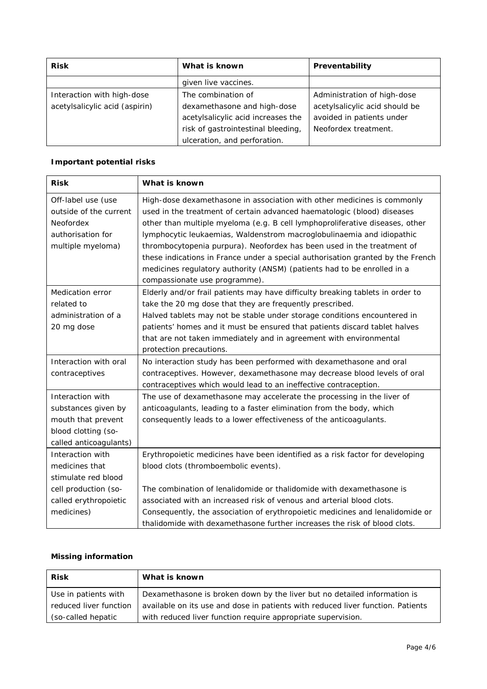| <b>Risk</b>                    | What is known                      | Preventability                 |  |
|--------------------------------|------------------------------------|--------------------------------|--|
|                                | given live vaccines.               |                                |  |
| Interaction with high-dose     | The combination of                 | Administration of high-dose    |  |
| acetylsalicylic acid (aspirin) | dexamethasone and high-dose        | acetylsalicylic acid should be |  |
|                                | acetylsalicylic acid increases the | avoided in patients under      |  |
|                                | risk of gastrointestinal bleeding, | Neofordex treatment.           |  |
|                                | ulceration, and perforation.       |                                |  |

# *Important potential risks*

| <b>Risk</b>            | What is known                                                                   |  |  |
|------------------------|---------------------------------------------------------------------------------|--|--|
| Off-label use (use     | High-dose dexamethasone in association with other medicines is commonly         |  |  |
| outside of the current | used in the treatment of certain advanced haematologic (blood) diseases         |  |  |
| Neofordex              | other than multiple myeloma (e.g. B cell lymphoproliferative diseases, other    |  |  |
| authorisation for      | lymphocytic leukaemias, Waldenstrom macroglobulinaemia and idiopathic           |  |  |
| multiple myeloma)      | thrombocytopenia purpura). Neofordex has been used in the treatment of          |  |  |
|                        | these indications in France under a special authorisation granted by the French |  |  |
|                        | medicines regulatory authority (ANSM) (patients had to be enrolled in a         |  |  |
|                        | compassionate use programme).                                                   |  |  |
| Medication error       | Elderly and/or frail patients may have difficulty breaking tablets in order to  |  |  |
| related to             | take the 20 mg dose that they are frequently prescribed.                        |  |  |
| administration of a    | Halved tablets may not be stable under storage conditions encountered in        |  |  |
| 20 mg dose             | patients' homes and it must be ensured that patients discard tablet halves      |  |  |
|                        | that are not taken immediately and in agreement with environmental              |  |  |
|                        | protection precautions.                                                         |  |  |
| Interaction with oral  | No interaction study has been performed with dexamethasone and oral             |  |  |
| contraceptives         | contraceptives. However, dexamethasone may decrease blood levels of oral        |  |  |
|                        | contraceptives which would lead to an ineffective contraception.                |  |  |
| Interaction with       | The use of dexamethasone may accelerate the processing in the liver of          |  |  |
| substances given by    | anticoagulants, leading to a faster elimination from the body, which            |  |  |
| mouth that prevent     | consequently leads to a lower effectiveness of the anticoagulants.              |  |  |
| blood clotting (so-    |                                                                                 |  |  |
| called anticoagulants) |                                                                                 |  |  |
| Interaction with       | Erythropoietic medicines have been identified as a risk factor for developing   |  |  |
| medicines that         | blood clots (thromboembolic events).                                            |  |  |
| stimulate red blood    |                                                                                 |  |  |
| cell production (so-   | The combination of lenalidomide or thalidomide with dexamethasone is            |  |  |
| called erythropoietic  | associated with an increased risk of venous and arterial blood clots.           |  |  |
| medicines)             | Consequently, the association of erythropoietic medicines and lenalidomide or   |  |  |
|                        | thalidomide with dexamethasone further increases the risk of blood clots.       |  |  |

### *Missing information*

| <b>Risk</b>            | What is known                                                                   |
|------------------------|---------------------------------------------------------------------------------|
| Use in patients with   | Dexamethasone is broken down by the liver but no detailed information is        |
| reduced liver function | available on its use and dose in patients with reduced liver function. Patients |
| (so-called hepatic     | with reduced liver function require appropriate supervision.                    |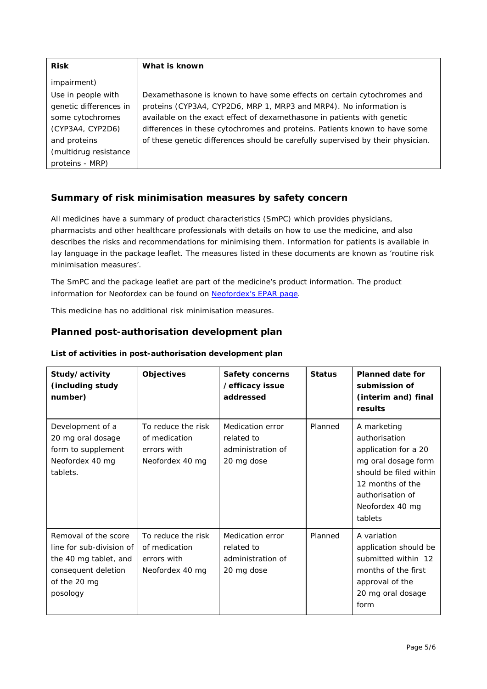| <b>Risk</b>            | What is known                                                                   |
|------------------------|---------------------------------------------------------------------------------|
| impairment)            |                                                                                 |
| Use in people with     | Dexamethasone is known to have some effects on certain cytochromes and          |
| genetic differences in | proteins (CYP3A4, CYP2D6, MRP 1, MRP3 and MRP4). No information is              |
| some cytochromes       | available on the exact effect of dexamethasone in patients with genetic         |
| (CYP3A4, CYP2D6)       | differences in these cytochromes and proteins. Patients known to have some      |
| and proteins           | of these genetic differences should be carefully supervised by their physician. |
| (multidrug resistance  |                                                                                 |
| proteins - MRP)        |                                                                                 |

## **Summary of risk minimisation measures by safety concern**

All medicines have a summary of product characteristics (SmPC) which provides physicians, pharmacists and other healthcare professionals with details on how to use the medicine, and also describes the risks and recommendations for minimising them. Information for patients is available in lay language in the package leaflet. The measures listed in these documents are known as 'routine risk minimisation measures'.

The SmPC and the package leaflet are part of the medicine's product information. The product information for Neofordex can be found on [Neofordex's EPAR page.](http://www.ema.europa.eu/ema/index.jsp?curl=/pages/medicines/human/medicines/004071/human_med_001960.jsp)

This medicine has no additional risk minimisation measures.

### **Planned post-authorisation development plan**

| Study/activity<br>(including study<br>number)                                                                                | <b>Objectives</b>                                                     | <b>Safety concerns</b><br>/efficacy issue<br>addressed            | <b>Status</b> | <b>Planned date for</b><br>submission of<br>(interim and) final<br>results                                                                                                  |
|------------------------------------------------------------------------------------------------------------------------------|-----------------------------------------------------------------------|-------------------------------------------------------------------|---------------|-----------------------------------------------------------------------------------------------------------------------------------------------------------------------------|
| Development of a<br>20 mg oral dosage<br>form to supplement<br>Neofordex 40 mg<br>tablets.                                   | To reduce the risk<br>of medication<br>errors with<br>Neofordex 40 mg | Medication error<br>related to<br>administration of<br>20 mg dose | Planned       | A marketing<br>authorisation<br>application for a 20<br>mg oral dosage form<br>should be filed within<br>12 months of the<br>authorisation of<br>Neofordex 40 mg<br>tablets |
| Removal of the score<br>line for sub-division of<br>the 40 mg tablet, and<br>consequent deletion<br>of the 20 mg<br>posology | To reduce the risk<br>of medication<br>errors with<br>Neofordex 40 mg | Medication error<br>related to<br>administration of<br>20 mg dose | Planned       | A variation<br>application should be<br>submitted within 12<br>months of the first<br>approval of the<br>20 mg oral dosage<br>form                                          |

### *List of activities in post-authorisation development plan*